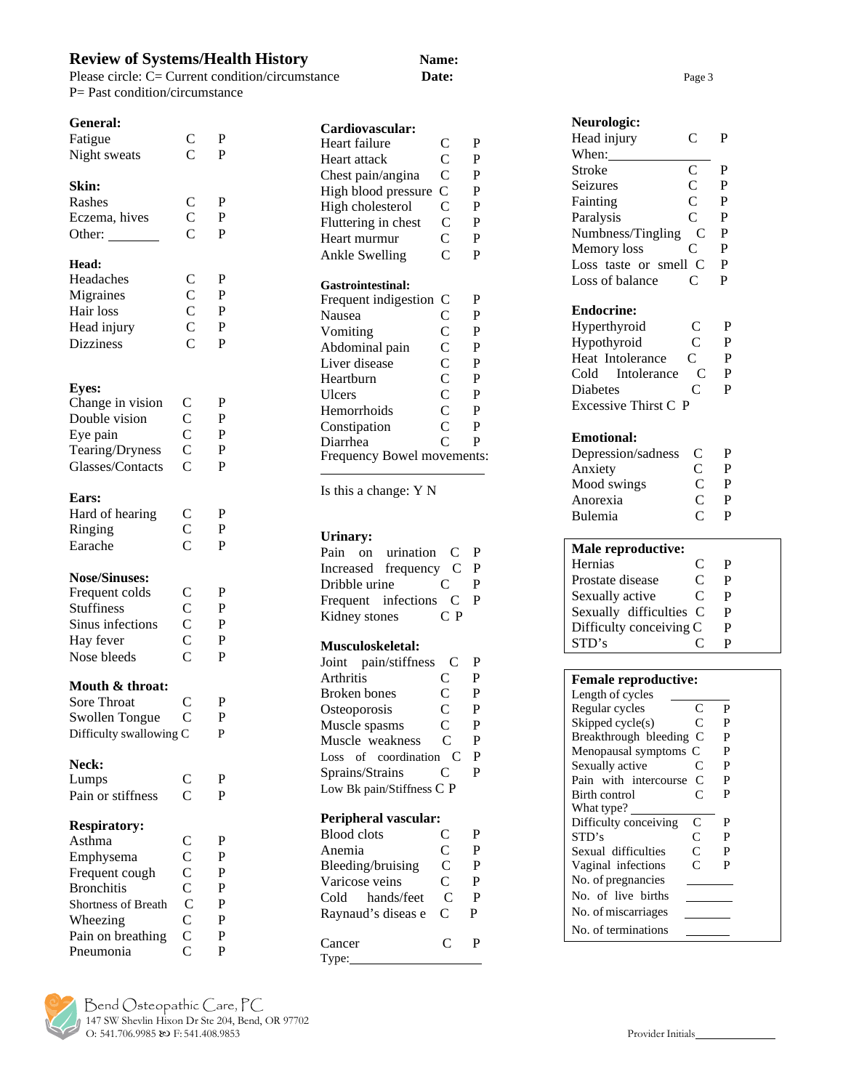# **Review of Systems/Health History Name:**

Please circle: C= Current condition/circumstance **Date: Date:** Page 3 P= Past condition/circumstance

#### **General:**

Dizziness

| Fatigue       | C | P |
|---------------|---|---|
| Night sweats  | C | P |
|               |   |   |
| Skin:         |   |   |
| Rashes        | C | P |
| Eczema, hives | C | P |
| Other:        | C | P |
| Head:         |   |   |
| Headaches     | C | P |
| Migraines     | C | P |
| Hair loss     | C | P |

Head injury C P<br>Dizziness C P

| <b>Eyes:</b><br>Change in vision<br>Double vision<br>Eye pain<br>Tearing/Dryness<br>Glasses/Contacts                                                   | $\mathcal{C}_{0}^{(n)}$<br>C<br>C<br>C<br>C                                    | P<br>P<br>$\overline{P}$<br>P<br>P                |
|--------------------------------------------------------------------------------------------------------------------------------------------------------|--------------------------------------------------------------------------------|---------------------------------------------------|
| Ears:<br>Hard of hearing<br>Ringing<br>Earache                                                                                                         | C<br>C<br>C                                                                    | P<br>P<br>$\overline{P}$                          |
| <b>Nose/Sinuses:</b><br>Frequent colds<br><b>Stuffiness</b><br>Sinus infections<br>Hay fever<br>Nose bleeds                                            | $\mathbf C$<br>C<br>C<br>C<br>C                                                | P<br>$\overline{\mathrm{P}}$<br>P<br>P<br>P       |
| Mouth & throat:<br><b>Sore Throat</b><br><b>Swollen Tongue</b><br>Difficulty swallowing C                                                              | $\frac{\text{C}}{\text{C}}$                                                    | P<br>P<br>P                                       |
| <b>Neck:</b><br>Lumps<br>Pain or stiffness                                                                                                             | C<br>C                                                                         | $\overline{P}$<br>P                               |
| <b>Respiratory:</b><br>Asthma<br>Emphysema<br>Frequent cough<br><b>Bronchitis</b><br>Shortness of Breath<br>Wheezing<br>Pain on breathing<br>Pneumonia | $\frac{\text{C}}{\text{C}}$<br>$\frac{\text{C}}{\text{C}}$<br>C<br>C<br>C<br>C | P<br>P<br>$\overline{P}$<br>P<br>P<br>P<br>P<br>P |

# **Cardiovascular:** Heart failure C P<br>Heart attack C P Heart attack C<br>Chest pain/angina C Chest pain/angina C P<br>High blood pressure C P High blood pressure C P<br>High cholesterol C P High cholesterol C P

| Fluttering in chest        | C              | P |
|----------------------------|----------------|---|
| Heart murmur               | C              | P |
| Ankle Swelling             | C              | P |
|                            |                |   |
| Gastrointestinal:          |                |   |
| Frequent indigestion       | C              | P |
| Nausea                     | C              | P |
| Vomiting                   | C              | P |
| Abdominal pain             | C              | P |
| Liver disease              | $\overline{C}$ | P |
| Heartburn                  | $\overline{C}$ | P |
| <b>Ulcers</b>              | $\overline{C}$ | P |
| Hemorrhoids                | C              | P |
| Constipation               | C              | P |
| Diarrhea                   | $\overline{C}$ | P |
| Frequency Bowel movements: |                |   |

Is this a change: Y N

## **Urinary:**

|               | Pain on urination C   |              | - P |
|---------------|-----------------------|--------------|-----|
|               | Increased frequency C |              | P   |
| Dribble urine |                       | $\mathbf{C}$ | P   |
|               | Frequent infections C |              | P   |
| Kidney stones |                       | $C$ P        |     |

#### **Musculoskeletal:**

| Joint pain/stiffness      | € | P |
|---------------------------|---|---|
| Arthritis                 | C | P |
| <b>Broken</b> bones       | C | P |
| Osteoporosis              | C | P |
| Muscle spasms             | C | P |
| Muscle weakness           | C | P |
| Loss of coordination      | C | P |
| Sprains/Strains           | ⊂ | P |
| Low Bk pain/Stiffness C P |   |   |

## **Peripheral vascular:**<br>Blood clots **C** Blood clots C P<br>Anemia C P Anemia C P<br>Bleeding/bruising C P Bleeding/bruising C

| DRUGHILE/UI UISHILE |   |   |
|---------------------|---|---|
| Varicose veins      | C | P |
| Cold hands/feet     | C | P |
| Raynaud's diseas e  | C | р |
|                     |   |   |
| Cancer              | C | P |
| Type:               |   |   |

| Neurologic:           |                                                       |   |
|-----------------------|-------------------------------------------------------|---|
| Head injury           | C                                                     | P |
| When:                 |                                                       |   |
| Stroke                | $\overline{C}$                                        | P |
| Seizures              | $\overline{C}$                                        | P |
| Fainting              | $\mathbf C$                                           | P |
| Paralysis             | $\overline{C}$                                        | P |
| Numbness/Tingling     | C                                                     | P |
| Memory loss           | C                                                     | P |
| Loss taste or smell C |                                                       | P |
| Loss of balance       | C                                                     | P |
| <b>Endocrine:</b>     |                                                       |   |
| Hyperthyroid          | $\mathsf{C}$                                          | P |
| Hypothyroid           | $\overline{C}$                                        | P |
| Heat Intolerance      | $\overline{C}$                                        | P |
| Cold Intolerance      | $\mathbf C$                                           | P |
| Diabetes              | Ċ                                                     | P |
| Excessive Thirst C P  |                                                       |   |
| <b>Emotional:</b>     |                                                       |   |
| Depression/sadness    | $\mathsf{C}$                                          | P |
| Anxiety               |                                                       | P |
| Mood swings           | $\begin{matrix} 1 & 1 \\ 1 & 1 \\ 1 & 1 \end{matrix}$ | P |
| Anorexia              |                                                       | P |
| Bulemia               | $\overline{C}$                                        | P |
|                       |                                                       |   |
| Male reproductive:    |                                                       |   |
| Herniae               | ⌒                                                     | D |

| <b>Male reproductive:</b> |   |   |  |
|---------------------------|---|---|--|
| Hernias                   | C | P |  |
| Prostate disease          | C | P |  |
| Sexually active           | C | P |  |
| Sexually difficulties C   |   | P |  |
| Difficulty conceiving C   |   | P |  |
| STD's                     |   |   |  |

| <b>Female reproductive:</b> |           |   |  |  |  |  |
|-----------------------------|-----------|---|--|--|--|--|
| Length of cycles            |           |   |  |  |  |  |
| Regular cycles              | C         | P |  |  |  |  |
| Skipped cycle(s)            | C         | P |  |  |  |  |
| Breakthrough bleeding       | C         | P |  |  |  |  |
| Menopausal symptoms C       |           | P |  |  |  |  |
| Sexually active             | C         | P |  |  |  |  |
| Pain with intercourse       | C         | P |  |  |  |  |
| Birth control               | C         | P |  |  |  |  |
| What type?                  |           |   |  |  |  |  |
| Difficulty conceiving       | C         | P |  |  |  |  |
| STD's                       | C         | P |  |  |  |  |
| Sexual difficulties         | $\subset$ | P |  |  |  |  |
| Vaginal infections          | $\subset$ | P |  |  |  |  |
| No. of pregnancies          |           |   |  |  |  |  |
| No. of live births          |           |   |  |  |  |  |
| No. of miscarriages         |           |   |  |  |  |  |
| No. of terminations         |           |   |  |  |  |  |

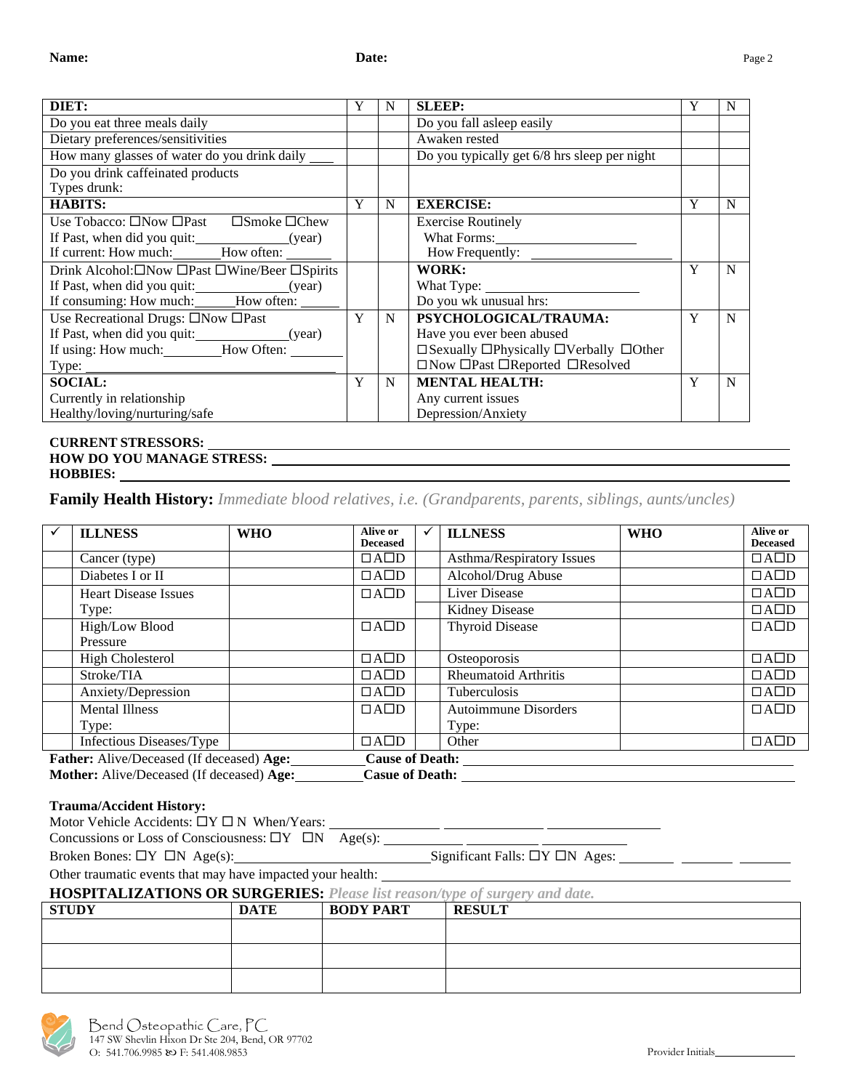| DIET:                                                |   | N | <b>SLEEP:</b>                                          |   | N |
|------------------------------------------------------|---|---|--------------------------------------------------------|---|---|
| Do you eat three meals daily                         |   |   | Do you fall asleep easily                              |   |   |
| Dietary preferences/sensitivities                    |   |   | Awaken rested                                          |   |   |
| How many glasses of water do you drink daily ______  |   |   | Do you typically get 6/8 hrs sleep per night           |   |   |
| Do you drink caffeinated products                    |   |   |                                                        |   |   |
| Types drunk:                                         |   |   |                                                        |   |   |
| <b>HABITS:</b>                                       | Y | N | <b>EXERCISE:</b>                                       | Y | N |
| Use Tobacco: □Now □Past □Smoke □Chew                 |   |   | <b>Exercise Routinely</b>                              |   |   |
| If Past, when did you quit: ________________(year)   |   |   | What Forms:                                            |   |   |
| If current: How much: How often:                     |   |   |                                                        |   |   |
| Drink Alcohol:□Now □Past □Wine/Beer □Spirits         |   |   | WORK:                                                  | Y | N |
| If Past, when did you quit: _________________(year)  |   |   |                                                        |   |   |
| If consuming: How much: How often: 1997              |   |   | Do you wk unusual hrs:                                 |   |   |
| Use Recreational Drugs: $\square$ Now $\square$ Past | Y | N | PSYCHOLOGICAL/TRAUMA:                                  | Y | N |
|                                                      |   |   | Have you ever been abused                              |   |   |
| If using: How much: How Often:                       |   |   | □ Sexually □ Physically □ Verbally □ Other             |   |   |
|                                                      |   |   | $\Box$ Now $\Box$ Past $\Box$ Reported $\Box$ Resolved |   |   |
| <b>SOCIAL:</b>                                       | Y | N | <b>MENTAL HEALTH:</b>                                  | Y | N |
| Currently in relationship                            |   |   | Any current issues                                     |   |   |
| Healthy/loving/nurturing/safe                        |   |   | Depression/Anxiety                                     |   |   |
|                                                      |   |   |                                                        |   |   |

### **CURRENT STRESSORS: HOW DO YOU MANAGE STRESS: HOBBIES:**

**Family Health History:** *Immediate blood relatives, i.e. (Grandparents, parents, siblings, aunts/uncles)*

| <b>ILLNESS</b>                            | <b>WHO</b> | Alive or<br><b>Deceased</b> | <b>ILLNESS</b>              | <b>WHO</b> | Alive or<br><b>Deceased</b> |
|-------------------------------------------|------------|-----------------------------|-----------------------------|------------|-----------------------------|
| Cancer (type)                             |            | $\Box$ A $\Box$ D           | Asthma/Respiratory Issues   |            | $\Box$ A $\Box$ D           |
| Diabetes I or II                          |            | $\Box$ A $\Box$ D           | Alcohol/Drug Abuse          |            | $\Box$ A $\Box$ D           |
| <b>Heart Disease Issues</b>               |            | $\Box$ A $\Box$ D           | Liver Disease               |            | $\Box$ A $\Box$ D           |
| Type:                                     |            |                             | <b>Kidney Disease</b>       |            | $\Box$ A $\Box$ D           |
| High/Low Blood                            |            | $\Box$ A $\Box$ D           | <b>Thyroid Disease</b>      |            | $\Box$ A $\Box$ D           |
| Pressure                                  |            |                             |                             |            |                             |
| <b>High Cholesterol</b>                   |            | $\Box$ A $\Box$ D           | Osteoporosis                |            | $\Box$ A $\Box$ D           |
| Stroke/TIA                                |            | $\Box$ A $\Box$ D           | <b>Rheumatoid Arthritis</b> |            | $\Box$ A $\Box$ D           |
| Anxiety/Depression                        |            | $\Box$ A $\Box$ D           | Tuberculosis                |            | $\Box$ A $\Box$ D           |
| <b>Mental Illness</b>                     |            | $\Box$ A $\Box$ D           | <b>Autoimmune Disorders</b> |            | $\Box$ A $\Box$ D           |
| Type:                                     |            |                             | Type:                       |            |                             |
| Infectious Diseases/Type                  |            | $\Box$ A $\Box$ D           | Other                       |            | $\Box$ A $\Box$ D           |
| Father: Alive/Deceased (If deceased) Age: |            | <b>Cause of Death:</b>      |                             |            |                             |

| <b>Mother:</b> Alive/Deceased (If deceased) Age: |  | <b>Casue of Death:</b> |
|--------------------------------------------------|--|------------------------|

# **Trauma/Accident History:**

| Motor Vehicle Accidents: $\Box Y \Box N$ When/Years:          |  |
|---------------------------------------------------------------|--|
| Concussions or Loss of Consciousness: $\Box Y \Box N$ Age(s): |  |

Broken Bones:  $\Box Y \Box N$  Age(s): Significant Falls:  $\Box Y \Box N$  Ages:

Other traumatic events that may have impacted your health:

**HOSPITALIZATIONS OR SURGERIES:** *Please list reason/type of surgery and date.*

| <b>STUDY</b> | <b>DATE</b> | <b>BODY PART</b> | <b>RESULT</b> |
|--------------|-------------|------------------|---------------|
|              |             |                  |               |
|              |             |                  |               |
|              |             |                  |               |